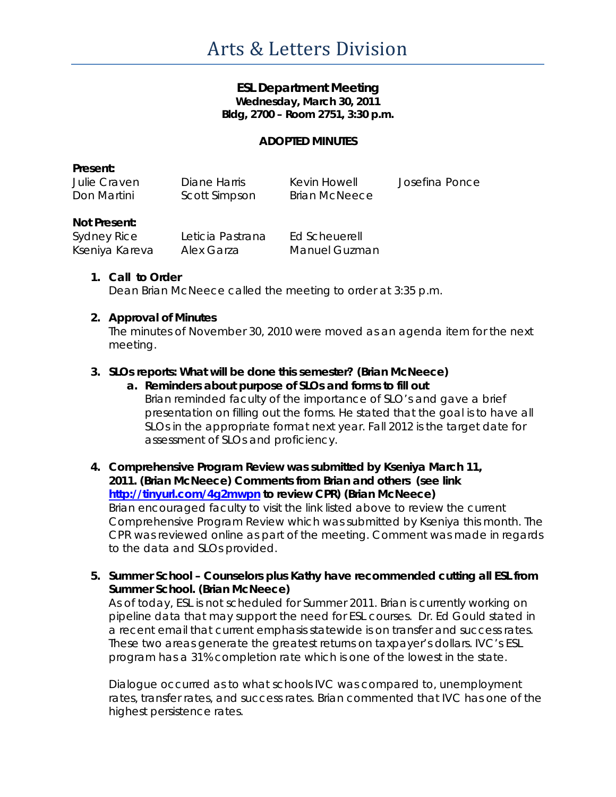### **ESL Department Meeting Wednesday, March 30, 2011 Bldg, 2700 – Room 2751, 3:30 p.m.**

#### **ADOPTED MINUTES**

| Present:     |               |               |                |
|--------------|---------------|---------------|----------------|
| Julie Craven | Diane Harris  | Kevin Howell  | Josefina Ponce |
| Don Martini  | Scott Simpson | Brian McNeece |                |

#### **Not Present:**

| Sydney Rice    | Leticia Pastrana | Ed Scheuerell        |
|----------------|------------------|----------------------|
| Kseniya Kareva | Alex Garza       | <b>Manuel Guzman</b> |

#### **1. Call to Order**

Dean Brian McNeece called the meeting to order at 3:35 p.m.

#### **2. Approval of Minutes**

The minutes of November 30, 2010 were moved as an agenda item for the next meeting.

### **3. SLOs reports: What will be done this semester? (Brian McNeece)**

**a. Reminders about purpose of SLOs and forms to fill out** Brian reminded faculty of the importance of SLO's and gave a brief presentation on filling out the forms. He stated that the goal is to have all SLOs in the appropriate format next year. Fall 2012 is the target date for assessment of SLOs and proficiency.

# **4. Comprehensive Program Review was submitted by Kseniya March 11, 2011. (Brian McNeece) Comments from Brian and others (see link <http://tinyurl.com/4g2mwpn> to review CPR) (Brian McNeece)**

Brian encouraged faculty to visit the link listed above to review the current Comprehensive Program Review which was submitted by Kseniya this month. The CPR was reviewed online as part of the meeting. Comment was made in regards to the data and SLOs provided.

**5. Summer School – Counselors plus Kathy have recommended cutting all ESL from Summer School. (Brian McNeece)**

As of today, ESL is not scheduled for Summer 2011. Brian is currently working on pipeline data that may support the need for ESL courses. Dr. Ed Gould stated in a recent email that current emphasis statewide is on transfer and success rates. These two areas generate the greatest returns on taxpayer's dollars. IVC's ESL program has a 31% completion rate which is one of the lowest in the state.

Dialogue occurred as to what schools IVC was compared to, unemployment rates, transfer rates, and success rates. Brian commented that IVC has one of the highest persistence rates.